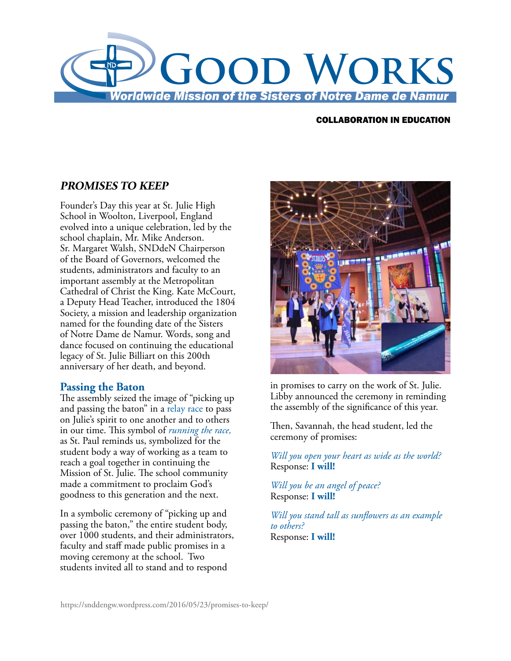

## COLLABORATION IN EDUCATION

## **PROMISES TO KEEP**

Founder's Day this year at St. Julie High School in Woolton, Liverpool, England evolved into a unique celebration, led by the school chaplain, Mr. Mike Anderson. Sr. Margaret Walsh, SNDdeN Chairperson of the Board of Governors, welcomed the students, administrators and faculty to an important assembly at the Metropolitan Cathedral of Christ the King. Kate McCourt, a Deputy Head Teacher, introduced the 1804 Society, a mission and leadership organization named for the founding date of the Sisters of Notre Dame de Namur. Words, song and dance focused on continuing the educational legacy of St. Julie Billiart on this 200th anniversary of her death, and beyond.

## **Passing the Baton**

The assembly seized the image of "picking up and passing the baton" in a relay race to pass on Julie's spirit to one another and to others in our time. This symbol of *running the race,* as St. Paul reminds us, symbolized for the student body a way of working as a team to reach a goal together in continuing the Mission of St. Julie. The school community made a commitment to proclaim God's goodness to this generation and the next.

In a symbolic ceremony of "picking up and passing the baton," the entire student body, over 1000 students, and their administrators, faculty and staff made public promises in a moving ceremony at the school. Two students invited all to stand and to respond



in promises to carry on the work of St. Julie. Libby announced the ceremony in reminding the assembly of the significance of this year.

Then, Savannah, the head student, led the ceremony of promises:

*Will you open your heart as wide as the world?*  Response: **I will!** 

*Will you be an angel of peace?*  Response: **I will!** 

*Will you stand tall as sunflowers as an example to others?*  Response: **I will!**